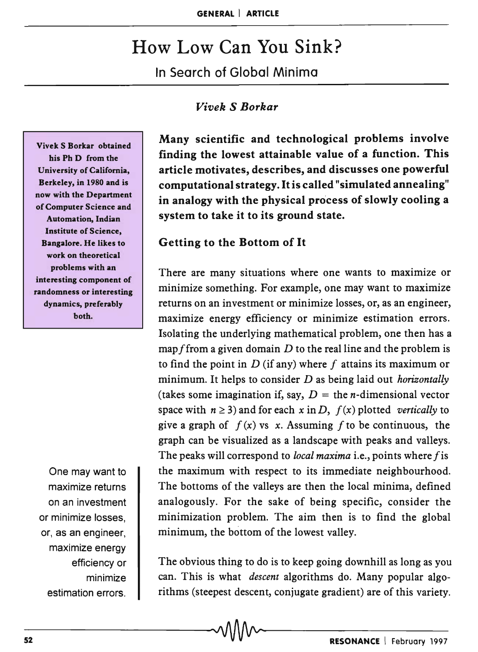# How Low Can You Sink? In Search of Global Minima

## *Vivek* S *Borkar*

Vivek S Borkar obtained his Ph D from the University of California, Berkeley, in 1980 and is now with the Department of Computer Science and Automation, Indian Institute of Science, Bangalore. He likes to work on theoretical problems with an interesting component of randomness or interesting dynamics, preferably both.

One may want to maximize returns on an investment or minimize losses, or, as an engineer, maximize energy efficiency or minimize estimation errors.

Many scientific and technological problems involve finding the lowest attainable value of a function. This article motivates, describes, and discusses one powerful computational strategy. It is called "simulated annealing" in analogy with the physical process of slowly cooling a system to take it to its ground state.

## Getting to the Bottom of It

There are many situations where one wants to maximize or minimize something. For example, one may want to maximize returns on an investment or minimize losses, or, as an engineer, maximize energy efficiency or minimize estimation errors. Isolating the underlying mathematical problem, one then has a map f from a given domain  $D$  to the real line and the problem is to find the point in  $D$  (if any) where f attains its maximum or minimum. It helps to consider *D* as being laid out *horizontally*  (takes some imagination if, say,  $D =$  the *n*-dimensional vector space with  $n \ge 3$ ) and for each  $x$  in  $D$ ,  $f(x)$  plotted *vertically* to give a graph of  $f(x)$  vs x. Assuming f to be continuous, the graph can be visualized as a landscape with peaks and valleys. The peaks will correspond to *local maxima* i.e., points where f is the maximum with respect to its immediate neighbourhood. The bottoms of the valleys are then the local minima, defined analogously. For the sake of being specific, consider the minimization problem. The aim then is to find the global minimum, the bottom of the lowest valley.

The obvious thing to do is to keep going downhill as long as you can. This is what *descent* algorithms do. Many popular algorithms (steepest descent, conjugate gradient) are of this variety. esumation errors.  $\blacksquare$  . Triffins (steepest descent, conjugate gradient) are of this variety.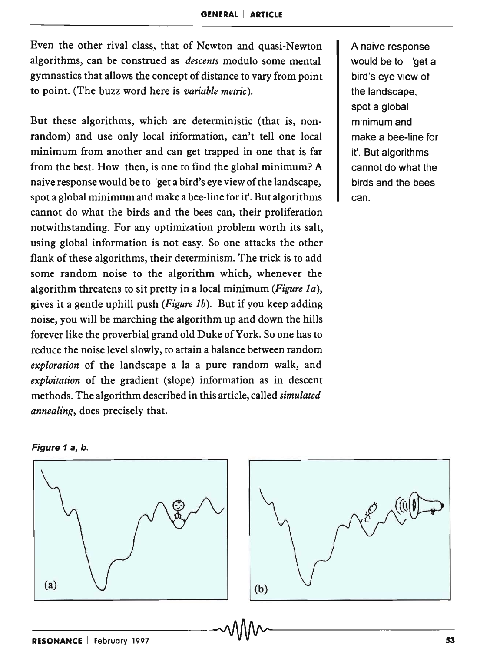Even the other rival class, that of Newton and quasi-Newton algorithms, can be construed as *descents* modulo some mental gymnastics that allows the concept of distance to vary from point to point. (The buzz word here is *variable metric).* 

But these algorithms, which are deterministic (that is, nonrandom) and use only local information, can't tell one local minimum from another and can get trapped in one that is far from the best. How then, is one to find the global minimum? A naive response would be to 'get a bird's eye view of the landscape, spot a global minimum and make a bee-line for it'. But algorithms cannot do what the birds and the bees can, their proliferation notwithstanding. For any optimization problem worth its salt, using global information is not easy. So one attacks the other flank of these algorithms, their determinism. The trick is to add some random noise to the algorithm which, whenever the algorithm threatens to sit pretty in a local minimum *(Figure la),*  gives it a gentle uphill push *(Figure Ib).* But if you keep adding noise, you will be marching the algorithm up and down the hills forever like the proverbial grand old Duke of York. So one has to reduce the noise level slowly, to attain a balance between random *exploration* of the landscape a la a pure random walk, and *exploitation* of the gradient (slope) information as in descent methods. The algorithm described in this article, called *simulated annealing,* does precisely that.

A naive response would be to 'get a bird's eye view of the landscape, spot a global minimum and make a bee-line for it'. But algorithms cannot do what the birds and the bees can.



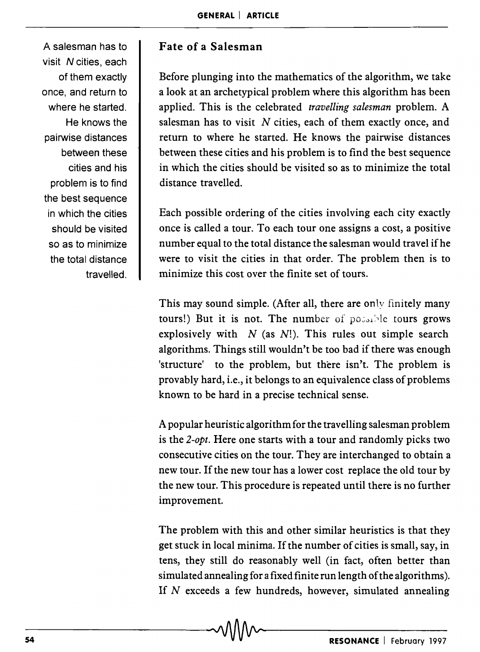A salesman has to visit N cities, each of them exactly once, and return to where he started. He knows the pairwise distances between these cities and his problem is to find the best sequence in which the cities should be visited so as to minimize the total distance travelled.

# **Fate of a Salesman**

Before plunging into the mathematics of the algorithm, we take a look at an archetypical problem where this algorithm has been applied. This is the celebrated *travelling salesman* problem. A salesman has to visit  $N$  cities, each of them exactly once, and return to where he started. He knows the pairwise distances between these cities and his problem is to find the best sequence in which the cities should be visited so as to minimize the total distance travelled.

Each possible ordering of the cities involving each city exactly once is called a tour. To each tour one assigns a cost, a positive number equal to the total distance the salesman would travel if he were to visit the cities in that order. The problem then is to minimize this cost over the finite set of tours.

This may sound simple. (After all, there are only finitely many tours!) But it is not. The number of possible tours grows explosively with *N* (as *N!).* This rules out simple search algorithms. Things still wouldn't be too bad if there was enough 'structure' to the problem, but there isn't. The problem is provably hard, i.e., it belongs to an equivalence class of problems known to be hard in a precise technical sense.

A popular heuristic algorithm for the travelling salesman problem is the *2-opt.* Here one starts with a tour and randomly picks two consecutive cities on the tour. They are interchanged to obtain a new tour. If the new tour has a lower cost replace the old tour by the new tour. This procedure is repeated until there is no further improvement.

The problem with this and other similar heuristics is that they get stuck in local minima. If the number of cities is small, say, in tens, they still do reasonably well (in fact, often better than simulated annealing for a fixed finite run length of the algorithms). If N exceeds a few hundreds, however, simulated annealing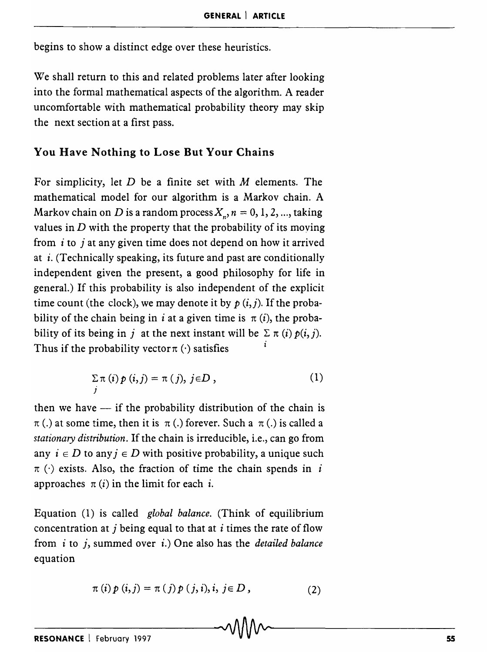begins to show a distinct edge over these heuristics.

We shall return to this and related problems later after looking into the formal mathematical aspects of the algorithm. A reader uncomfortable with mathematical probability theory may skip the next section at a first pass.

## You Have Nothing to Lose But Your Chains

For simplicity, let  $D$  be a finite set with  $M$  elements. The mathematical model for our algorithm is a Markov chain. A Markov chain on *D* is a random process  $X_n$ ,  $n = 0, 1, 2, \dots$ , taking values in *D* with the property that the probability of its moving from  $i$  to  $j$  at any given time does not depend on how it arrived at  $i$ . (Technically speaking, its future and past are conditionally independent given the present, a good philosophy for life in general.) If this probability is also independent of the explicit time count (the clock), we may denote it by  $p(i, j)$ . If the probability of the chain being in i at a given time is  $\pi(i)$ , the probability of its being in j at the next instant will be  $\Sigma \pi(i) p(i, j)$ . Thus if the probability vector  $\pi(\cdot)$  satisfies

$$
\sum_{j} \pi(i) p(i,j) = \pi(j), \ j \in D \,, \tag{1}
$$

then we have  $-$  if the probability distribution of the chain is  $\pi$  (.) at some time, then it is  $\pi$  (.) forever. Such a  $\pi$  (.) is called a *stationary distribution.* If the chain is irreducible, i.e., can go from any  $i \in D$  to any  $j \in D$  with positive probability, a unique such  $\pi$  ( $\cdot$ ) exists. Also, the fraction of time the chain spends in *i* approaches  $\pi(i)$  in the limit for each *i*.

Equation (1) is called *global balance.* (Think of equilibrium concentration at j being equal to that at i times the rate of flow from i to j, summed over *i.)* One also has the *detailed balance*  equation

$$
\pi(i) p(i,j) = \pi(j) p(j,i), i, j \in D, \qquad (2)
$$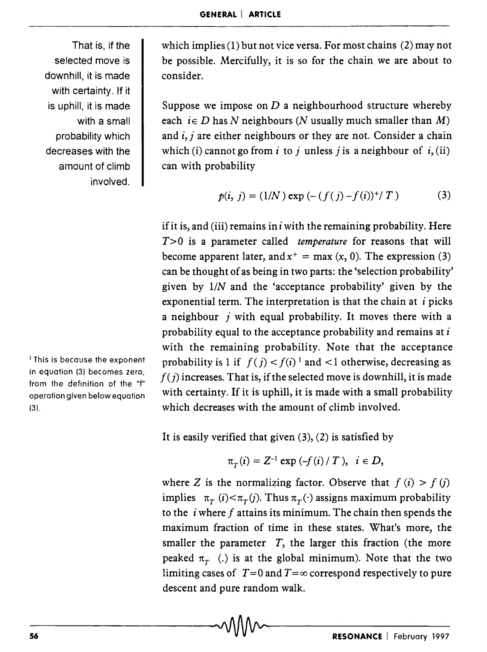That is, if the selected move is downhill, it is made with certainty. If it is uphill, it is made with a small probability which decreases with the amount of climb involved.

<sup>1</sup> This is because the exponent in equation (3) becomes zero, from the definition of the "f" operation given below equation (3).

which implies (1) but not vice versa. For most chains (2) may not be possible. Mercifully, it is so for the chain we are about to consider.

Suppose we impose on *D* a neighbourhood structure whereby each  $i \in D$  has N neighbours (N usually much smaller than M) and  $i$ ,  $j$  are either neighbours or they are not. Consider a chain which (i) cannot go from i to j unless j is a neighbour of i, (ii) can with probability

$$
p(i, j) = (1/N) \exp(-(f(j) - f(i))^+ / T)
$$
 (3)

if it is, and (iii) remains in  $i$  with the remaining probability. Here *T>O* is a parameter called *temperature* for reasons that will become apparent later, and  $x^+ = \max(x, 0)$ . The expression (3) can be thought of as being in two parts: the 'selection probability' given by  $1/N$  and the 'acceptance probability' given by the exponential term. The interpretation is that the chain at  $i$  picks a neighbour  $j$  with equal probability. It moves there with a probability equal to the acceptance probability and remains at i with the remaining probability. Note that the acceptance probability is 1 if  $f(j) < f(i)^{-1}$  and  $\lt 1$  otherwise, decreasing as  $f(j)$  increases. That is, if the selected move is downhill, it is made with certainty. If it is uphill, it is made with a small probability which decreases with the amount of climb involved.

It is easily verified that given  $(3)$ ,  $(2)$  is satisfied by

$$
\pi_T(i) = Z^{-1} \exp(-f(i)/T), \ i \in D,
$$

where Z is the normalizing factor. Observe that  $f(i) > f(j)$ implies  $\pi_T(i) < \pi_T(j)$ . Thus  $\pi_T(\cdot)$  assigns maximum probability to the *i* where f attains its minimum. The chain then spends the maximum fraction of time in these states. What's more, the smaller the parameter  $T$ , the larger this fraction (the more peaked  $\pi$ <sub>r</sub> (.) is at the global minimum). Note that the two limiting cases of  $T=0$  and  $T=\infty$  correspond respectively to pure descent and pure random walk.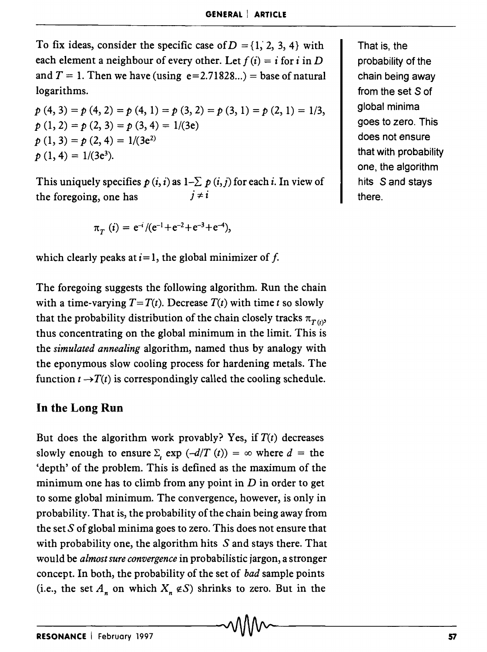To fix ideas, consider the specific case of  $D = \{1, 2, 3, 4\}$  with each element a neighbour of every other. Let  $f(i) = i$  for i in D and  $T = 1$ . Then we have (using  $e=2.71828...$ ) = base of natural logarithms.

$$
p(4, 3) = p(4, 2) = p(4, 1) = p(3, 2) = p(3, 1) = p(2, 1) = 1/3,
$$
  
\n
$$
p(1, 2) = p(2, 3) = p(3, 4) = 1/(3e)
$$
  
\n
$$
p(1, 3) = p(2, 4) = 1/(3e^{2})
$$
  
\n
$$
p(1, 4) = 1/(3e^{3}).
$$

This uniquely specifies  $p(i, i)$  as  $1-\sum p(i, j)$  for each i. In view of  $i \neq i$ the foregoing, one has

$$
\pi_T(i) = e^{-i} / (e^{-1} + e^{-2} + e^{-3} + e^{-4}),
$$

which clearly peaks at  $i=1$ , the global minimizer of f.

The foregoing suggests the following algorithm. Run the chain with a time-varying  $T = T(t)$ . Decrease  $T(t)$  with time *t* so slowly that the probability distribution of the chain closely tracks  $\pi_{T(t)}$ thus concentrating on the global minimum in the limit. This is the *simulated annealing* algorithm, named thus by analogy with the eponymous slow cooling process for hardening metals. The function  $t \rightarrow T(t)$  is correspondingly called the cooling schedule.

## In the Long Run

But does the algorithm work provably? Yes, if  $T(t)$  decreases slowly enough to ensure  $\Sigma$ ,  $\exp(-\frac{d}{T}(t)) = \infty$  where  $d =$  the 'depth' of the problem. This is defined as the maximum of the minimum one has to climb from any point in *D* in order to get to some global minimum. The convergence, however, is only in probability. That is, the probability of the chain being away from the set  $S$  of global minima goes to zero. This does not ensure that with probability one, the algorithm hits  $S$  and stays there. That would be *almost sure convergence* in probabilistic jargon, a stronger concept. In both, the probability of the set of *bad* sample points (i.e., the set  $A_n$  on which  $X_n \notin S$ ) shrinks to zero. But in the

That is, the probability of the chain being away from the set S of global minima goes to zero. This does not ensure that with probability one, the algorithm hits S and stays there.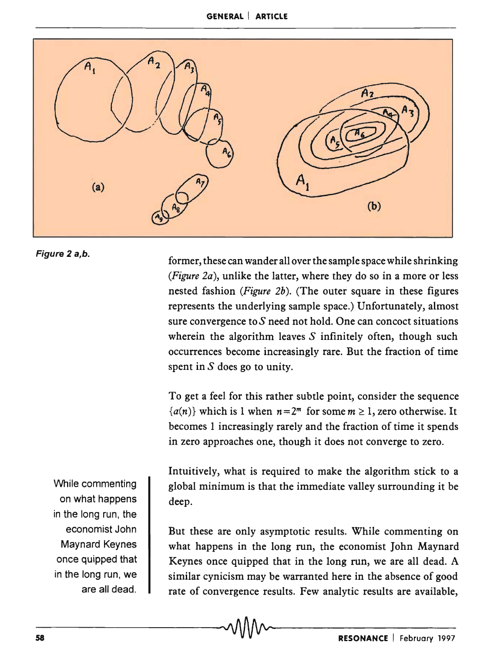#### **GENERAL I ARTICLE**



#### Figure 2 a,b.

former, these can wander all over the sample space while shrinking *(Figure 2a),* unlike the latter, where they do so in a more or less nested fashion *(Figure 2b).* (The outer square in these figures represents the underlying sample space.) Unfortunately, almost sure convergence to  $S$  need not hold. One can concoct situations wherein the algorithm leaves  $S$  infinitely often, though such occurrences become increasingly rare. But the fraction of time spent in  $S$  does go to unity.

To get a feel for this rather subtle point, consider the sequence  ${a(n)}$  which is 1 when  $n=2^m$  for some  $m \ge 1$ , zero otherwise. It becomes I increasingly rarely and the fraction of time it spends in zero approaches one, though it does not converge to zero.

Intuitively, what is required to make the algorithm stick to a global minimum is that the immediate valley surrounding it be deep.

But these are only asymptotic results. While commenting on what happens in the long run, the economist John Maynard Keynes once quipped that in the long run, we are all dead. A similar cynicism may be warranted here in the absence of good rate of convergence results. Few analytic results are available,

While commenting on what happens in the long run, the economist John Maynard Keynes once quipped that in the long run, we are all dead.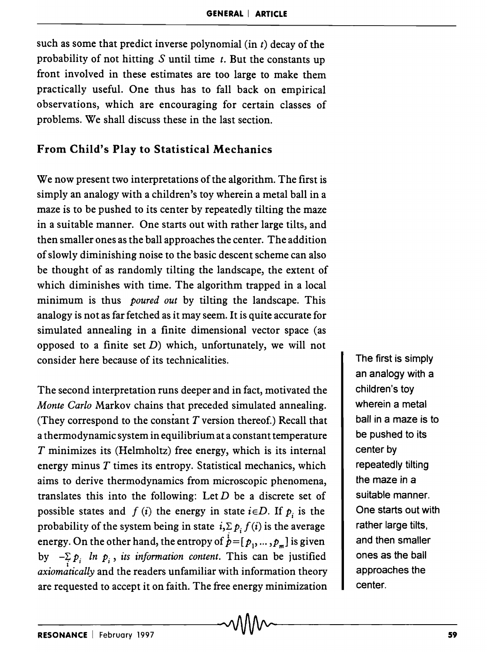such as some that predict inverse polynomial (in *t)* decay of the probability of not hitting S until time *t.* But the constants up front involved in these estimates are too large to make them practically useful. One thus has to fall back on empirical observations, which are encouraging for certain classes of problems. We shall discuss these in the last section.

## From Child's Play to Statistical Mechanics

We now present two interpretations of the algorithm. The first is simply an analogy with a children's toy wherein a metal ball in a maze is to be pushed to its center by repeatedly tilting the maze in a suitable manner. One starts out with rather large tilts, and then smaller ones as the ball approaches the center. The addition of slowly diminishing noise to the basic descent scheme can also be thought of as randomly tilting the landscape, the extent of which diminishes with time. The algorithm trapped in a local minimum is thus *poured out* by tilting the landscape. This analogy is not as far fetched as it may seem. It is quite accurate for simulated annealing in a finite dimensional vector space (as opposed to a finite set  $D$ ) which, unfortunately, we will not consider here because of its technicalities.

The second interpretation runs deeper and in fact, motivated the *Monte Carlo* Markov chains that preceded simulated annealing. (They correspond to the constant *T* version thereof.) Recall that a thermodynamic system in equilibrium at a constant temperature T minimizes its (Helmholtz) free energy, which is its internal energy minus  $T$  times its entropy. Statistical mechanics, which aims to derive thermodynamics from microscopic phenomena, translates this into the following: Let *D* be a discrete set of possible states and  $f(i)$  the energy in state  $i \in D$ . If  $p_i$  is the probability of the system being in state  $i,\sum p_i f(i)$  is the average energy. On the other hand, the entropy of  $\dot{p} = [p_1, ..., p_m]$  is given by  $-\sum_i p_i$  *ln p<sub>i</sub>*, *its information content.* This can be justified *axiomatically* and the readers unfamiliar with information theory are requested to accept it on faith. The free energy minimization The first is simply an analogy with a children's toy wherein a metal ball in a maze is to be pushed to its center by repeatedly tilting the maze in a suitable manner. One starts out with rather large tilts, and then smaller ones as the ball approaches the center.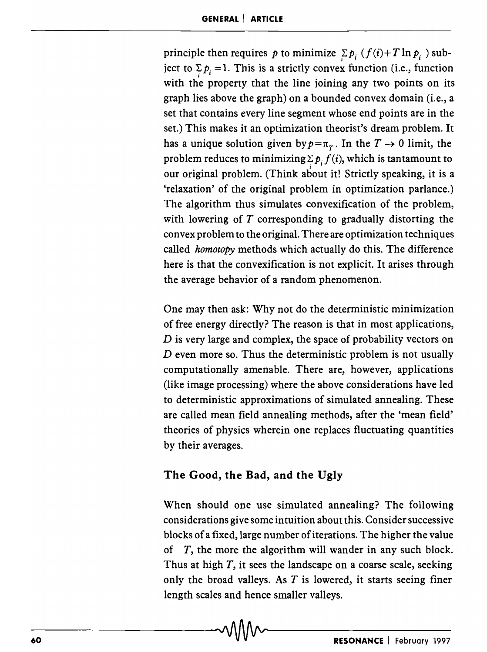principle then requires *p* to minimize  $\sum p_i (f(i) + T \ln p_i)$  subject to  $\sum p_i = 1$ . This is a strictly convex function (i.e., function with the property that the line joining any two points on its graph lies above the graph) on a bounded convex domain (i.e., a set that contains every line segment whose end points are in the set.) This makes it an optimization theorist's dream problem. It has a unique solution given by  $p = \pi_T$ . In the  $T \rightarrow 0$  limit, the problem reduces to minimizing  $\sum p_i f(i)$ , which is tantamount to our original problem. (Think about it! Strictly speaking, it is a 'relaxation' of the original problem in optimization parlance.) The algorithm thus simulates convexification of the problem, with lowering of *T* corresponding to gradually distorting the convex problem to the original. There are optimization techniques called *homotopy* methods which actually do this. The difference here is that the convexification is not explicit. It arises through the average behavior of a random phenomenon.

One may then ask: Why not do the deterministic minimization of free energy directly? The reason is that in most applications, *D* is very large and complex, the space of probability vectors on *D* even more so. Thus the deterministic problem is not usually computationally amenable. There are, however, applications (like image processing) where the above considerations have led to deterministic approximations of simulated annealing. These are called mean field annealing methods, after the 'mean field' theories of physics wherein one replaces fluctuating quantities by their averages.

### The Good, the Bad, and the Ugly

When should one use simulated annealing? The following considerations give some intuition about this. Consider successive blocks of a fixed, large number of iterations. The higher the value of  $T$ , the more the algorithm will wander in any such block. Thus at high  $T$ , it sees the landscape on a coarse scale, seeking only the broad valleys. As  $T$  is lowered, it starts seeing finer length scales and hence smaller valleys.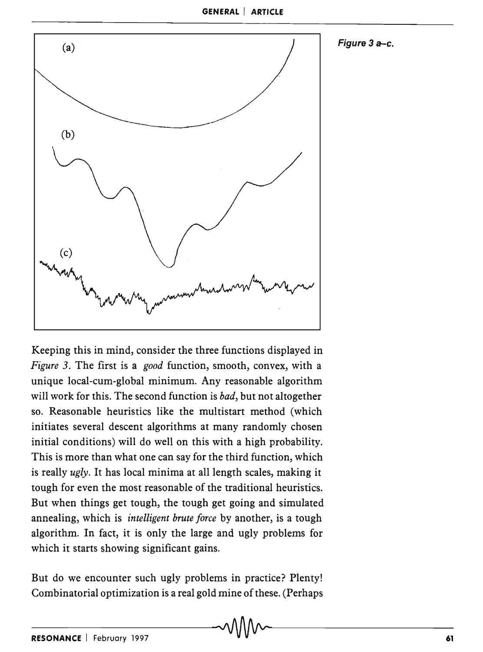Figure 3 a-e.



Keeping this in mind, consider the three functions displayed in *Figure* 3. The first is a *good* function, smooth, convex, with a unique local-cum-global minimum. Any reasonable algorithm will work for this. The second function is *bad,* but not altogether so. Reasonable heuristics like the multistart method (which initiates several descent algorithms at many randomly chosen initial conditions) will do well on this with a high probability. This is more than what one can say for the third function, which is really *ugly.* It has local minima at all length scales, making it tough for even the most reasonable of the traditional heuristics. But when things get tough, the tough get going and simulated annealing, which is *intelligent brute force* by another, is a tough algorithm. In fact, it is only the large and ugly problems for which it starts showing significant gains.

But do we encounter such ugly problems in practice? Plenty! Combinatorial optimization is a real gold mine of these. (Perhaps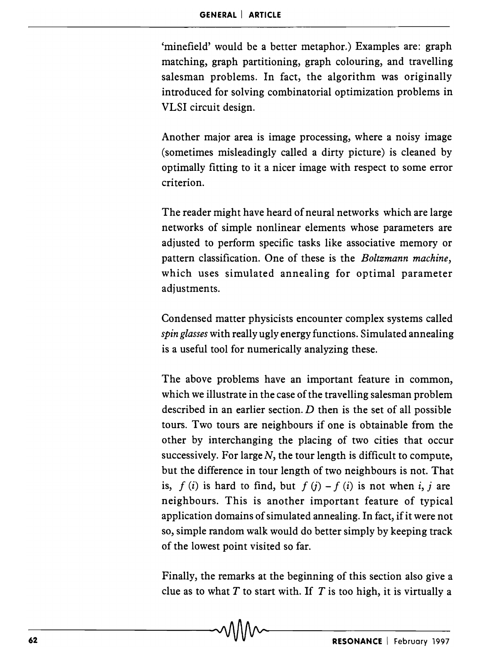'minefield' would be a better metaphor.) Examples are: graph matching, graph partitioning, graph colouring, and travelling salesman problems. In fact, the algorithm was originally introduced for solving combinatorial optimization problems in VLSI circuit design.

Another major area is image processing, where a noisy image (sometimes misleadingly called a dirty picture) is cleaned by optimally fitting to it a nicer image with respect to some error criterion.

The reader might have heard of neural networks which are large networks of simple nonlinear elements whose parameters are adjusted to perform specific tasks like associative memory or pattern classification. One of these is the *Boltzmann machine,*  which uses simulated annealing for optimal parameter adjustments.

Condensed matter physicists encounter complex systems called *spin glasses* with really ugly energy functions. Simulated annealing is a useful tool for numerically analyzing these.

The above problems have an important feature in common, which we illustrate in the case of the travelling salesman problem described in an earlier section.  $D$  then is the set of all possible tours. Two tours are neighbours if one is obtainable from the other by interchanging the placing of two cities that occur successively. For large  $N$ , the tour length is difficult to compute, but the difference in tour length of two neighbours is not. That is,  $f(i)$  is hard to find, but  $f(j) - f(i)$  is not when i, j are neighbours. This is another important feature of typical application domains of simulated annealing. In fact, if it were not so, simple random walk would do better simply by keeping track of the lowest point visited so far.

Finally, the remarks at the beginning of this section also give a clue as to what *T* to start with. If *T* is too high, it is virtually a  $\sim$   $\sqrt{1/\sqrt{1/\sqrt{1-\frac{1}{2}}}}$